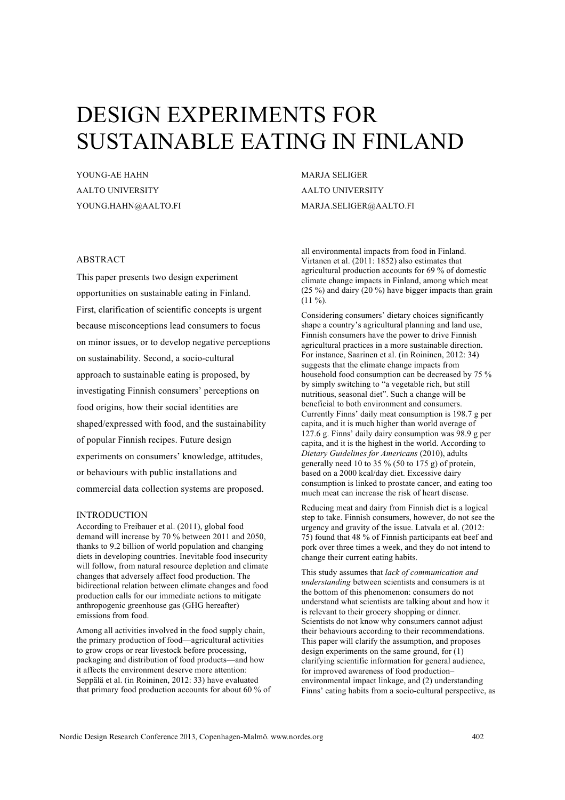# DESIGN EXPERIMENTS FOR SUSTAINABLE EATING IN FINLAND

YOUNG-AE HAHN AALTO UNIVERSITY YOUNG.HAHN@AALTO.FI MARJA SELIGER AALTO UNIVERSITY MARJA.SELIGER@AALTO.FI

## ABSTRACT

This paper presents two design experiment opportunities on sustainable eating in Finland. First, clarification of scientific concepts is urgent because misconceptions lead consumers to focus on minor issues, or to develop negative perceptions on sustainability. Second, a socio-cultural approach to sustainable eating is proposed, by investigating Finnish consumers' perceptions on food origins, how their social identities are shaped/expressed with food, and the sustainability of popular Finnish recipes. Future design experiments on consumers' knowledge, attitudes, or behaviours with public installations and commercial data collection systems are proposed.

## INTRODUCTION

According to Freibauer et al. (2011), global food demand will increase by 70 % between 2011 and 2050, thanks to 9.2 billion of world population and changing diets in developing countries. Inevitable food insecurity will follow, from natural resource depletion and climate changes that adversely affect food production. The bidirectional relation between climate changes and food production calls for our immediate actions to mitigate anthropogenic greenhouse gas (GHG hereafter) emissions from food.

Among all activities involved in the food supply chain, the primary production of food—agricultural activities to grow crops or rear livestock before processing, packaging and distribution of food products—and how it affects the environment deserve more attention: Seppälä et al. (in Roininen, 2012: 33) have evaluated that primary food production accounts for about 60 % of all environmental impacts from food in Finland. Virtanen et al. (2011: 1852) also estimates that agricultural production accounts for 69 % of domestic climate change impacts in Finland, among which meat (25 %) and dairy (20 %) have bigger impacts than grain  $(11 \%)$ .

Considering consumers' dietary choices significantly shape a country's agricultural planning and land use, Finnish consumers have the power to drive Finnish agricultural practices in a more sustainable direction. For instance, Saarinen et al. (in Roininen, 2012: 34) suggests that the climate change impacts from household food consumption can be decreased by 75 % by simply switching to "a vegetable rich, but still nutritious, seasonal diet". Such a change will be beneficial to both environment and consumers. Currently Finns' daily meat consumption is 198.7 g per capita, and it is much higher than world average of 127.6 g. Finns' daily dairy consumption was 98.9 g per capita, and it is the highest in the world. According to *Dietary Guidelines for Americans* (2010), adults generally need 10 to 35 % (50 to 175 g) of protein, based on a 2000 kcal/day diet. Excessive dairy consumption is linked to prostate cancer, and eating too much meat can increase the risk of heart disease.

Reducing meat and dairy from Finnish diet is a logical step to take. Finnish consumers, however, do not see the urgency and gravity of the issue. Latvala et al. (2012: 75) found that 48 % of Finnish participants eat beef and pork over three times a week, and they do not intend to change their current eating habits.

This study assumes that *lack of communication and understanding* between scientists and consumers is at the bottom of this phenomenon: consumers do not understand what scientists are talking about and how it is relevant to their grocery shopping or dinner. Scientists do not know why consumers cannot adjust their behaviours according to their recommendations. This paper will clarify the assumption, and proposes design experiments on the same ground, for (1) clarifying scientific information for general audience, for improved awareness of food production– environmental impact linkage, and (2) understanding Finns' eating habits from a socio-cultural perspective, as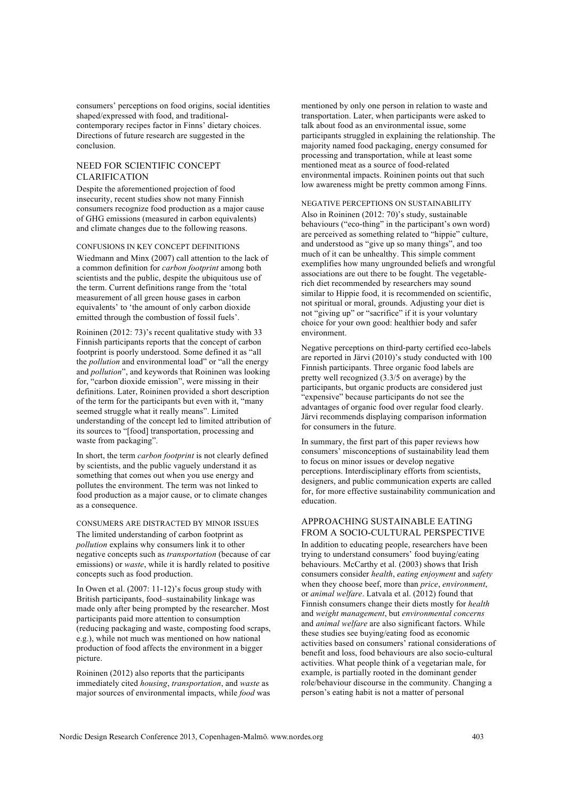consumers' perceptions on food origins, social identities shaped/expressed with food, and traditionalcontemporary recipes factor in Finns' dietary choices. Directions of future research are suggested in the conclusion.

## NEED FOR SCIENTIFIC CONCEPT CLARIFICATION

Despite the aforementioned projection of food insecurity, recent studies show not many Finnish consumers recognize food production as a major cause of GHG emissions (measured in carbon equivalents) and climate changes due to the following reasons.

#### CONFUSIONS IN KEY CONCEPT DEFINITIONS

Wiedmann and Minx (2007) call attention to the lack of a common definition for *carbon footprint* among both scientists and the public, despite the ubiquitous use of the term. Current definitions range from the 'total measurement of all green house gases in carbon equivalents' to 'the amount of only carbon dioxide emitted through the combustion of fossil fuels'.

Roininen (2012: 73)'s recent qualitative study with 33 Finnish participants reports that the concept of carbon footprint is poorly understood. Some defined it as "all the *pollution* and environmental load" or "all the energy and *pollution*", and keywords that Roininen was looking for, "carbon dioxide emission", were missing in their definitions. Later, Roininen provided a short description of the term for the participants but even with it, "many seemed struggle what it really means". Limited understanding of the concept led to limited attribution of its sources to "[food] transportation, processing and waste from packaging".

In short, the term *carbon footprint* is not clearly defined by scientists, and the public vaguely understand it as something that comes out when you use energy and pollutes the environment. The term was not linked to food production as a major cause, or to climate changes as a consequence.

CONSUMERS ARE DISTRACTED BY MINOR ISSUES The limited understanding of carbon footprint as *pollution* explains why consumers link it to other negative concepts such as *transportation* (because of car emissions) or *waste*, while it is hardly related to positive concepts such as food production.

In Owen et al. (2007: 11-12)'s focus group study with British participants, food–sustainability linkage was made only after being prompted by the researcher. Most participants paid more attention to consumption (reducing packaging and waste, composting food scraps, e.g.), while not much was mentioned on how national production of food affects the environment in a bigger picture.

Roininen (2012) also reports that the participants immediately cited *housing*, *transportation*, and *waste* as major sources of environmental impacts, while *food* was mentioned by only one person in relation to waste and transportation. Later, when participants were asked to talk about food as an environmental issue, some participants struggled in explaining the relationship. The majority named food packaging, energy consumed for processing and transportation, while at least some mentioned meat as a source of food-related environmental impacts. Roininen points out that such low awareness might be pretty common among Finns.

#### NEGATIVE PERCEPTIONS ON SUSTAINABILITY

Also in Roininen (2012: 70)'s study, sustainable behaviours ("eco-thing" in the participant's own word) are perceived as something related to "hippie" culture, and understood as "give up so many things", and too much of it can be unhealthy. This simple comment exemplifies how many ungrounded beliefs and wrongful associations are out there to be fought. The vegetablerich diet recommended by researchers may sound similar to Hippie food, it is recommended on scientific, not spiritual or moral, grounds. Adjusting your diet is not "giving up" or "sacrifice" if it is your voluntary choice for your own good: healthier body and safer environment.

Negative perceptions on third-party certified eco-labels are reported in Järvi (2010)'s study conducted with 100 Finnish participants. Three organic food labels are pretty well recognized (3.3/5 on average) by the participants, but organic products are considered just "expensive" because participants do not see the advantages of organic food over regular food clearly. Järvi recommends displaying comparison information for consumers in the future.

In summary, the first part of this paper reviews how consumers' misconceptions of sustainability lead them to focus on minor issues or develop negative perceptions. Interdisciplinary efforts from scientists, designers, and public communication experts are called for, for more effective sustainability communication and education.

## APPROACHING SUSTAINABLE EATING FROM A SOCIO-CULTURAL PERSPECTIVE

In addition to educating people, researchers have been trying to understand consumers' food buying/eating behaviours. McCarthy et al. (2003) shows that Irish consumers consider *health*, *eating enjoyment* and *safety* when they choose beef, more than *price*, *environment*, or *animal welfare*. Latvala et al. (2012) found that Finnish consumers change their diets mostly for *health* and *weight management*, but *environmental concerns* and *animal welfare* are also significant factors. While these studies see buying/eating food as economic activities based on consumers' rational considerations of benefit and loss, food behaviours are also socio-cultural activities. What people think of a vegetarian male, for example, is partially rooted in the dominant gender role/behaviour discourse in the community. Changing a person's eating habit is not a matter of personal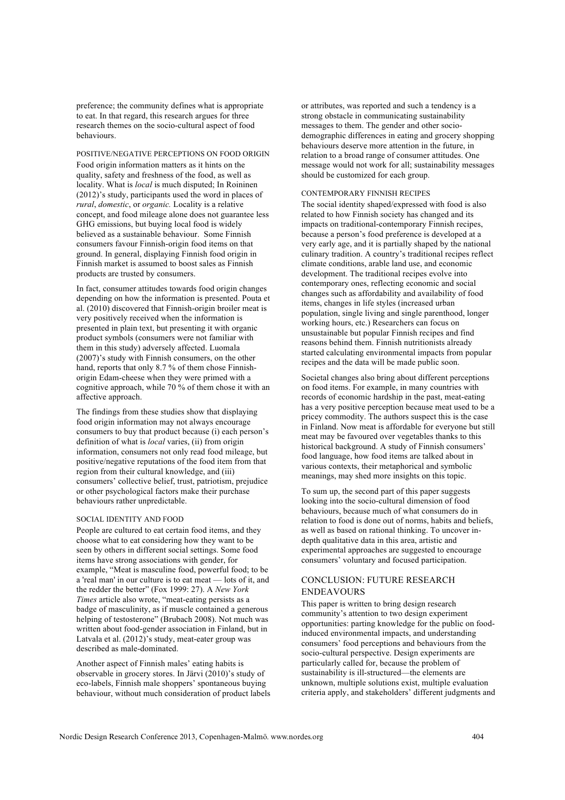preference; the community defines what is appropriate to eat. In that regard, this research argues for three research themes on the socio-cultural aspect of food behaviours.

#### POSITIVE/NEGATIVE PERCEPTIONS ON FOOD ORIGIN

Food origin information matters as it hints on the quality, safety and freshness of the food, as well as locality. What is *local* is much disputed; In Roininen (2012)'s study, participants used the word in places of *rural*, *domestic*, or *organic.* Locality is a relative concept, and food mileage alone does not guarantee less GHG emissions, but buying local food is widely believed as a sustainable behaviour. Some Finnish consumers favour Finnish-origin food items on that ground. In general, displaying Finnish food origin in Finnish market is assumed to boost sales as Finnish products are trusted by consumers.

In fact, consumer attitudes towards food origin changes depending on how the information is presented. Pouta et al. (2010) discovered that Finnish-origin broiler meat is very positively received when the information is presented in plain text, but presenting it with organic product symbols (consumers were not familiar with them in this study) adversely affected. Luomala (2007)'s study with Finnish consumers, on the other hand, reports that only 8.7 % of them chose Finnishorigin Edam-cheese when they were primed with a cognitive approach, while 70 % of them chose it with an affective approach.

The findings from these studies show that displaying food origin information may not always encourage consumers to buy that product because (i) each person's definition of what is *local* varies, (ii) from origin information, consumers not only read food mileage, but positive/negative reputations of the food item from that region from their cultural knowledge, and (iii) consumers' collective belief, trust, patriotism, prejudice or other psychological factors make their purchase behaviours rather unpredictable.

#### SOCIAL IDENTITY AND FOOD

People are cultured to eat certain food items, and they choose what to eat considering how they want to be seen by others in different social settings. Some food items have strong associations with gender, for example, "Meat is masculine food, powerful food; to be a 'real man' in our culture is to eat meat — lots of it, and the redder the better" (Fox 1999: 27). A *New York Times* article also wrote, "meat-eating persists as a badge of masculinity, as if muscle contained a generous helping of testosterone" (Brubach 2008). Not much was written about food-gender association in Finland, but in Latvala et al. (2012)'s study, meat-eater group was described as male-dominated.

Another aspect of Finnish males' eating habits is observable in grocery stores. In Järvi (2010)'s study of eco-labels, Finnish male shoppers' spontaneous buying behaviour, without much consideration of product labels or attributes, was reported and such a tendency is a strong obstacle in communicating sustainability messages to them. The gender and other sociodemographic differences in eating and grocery shopping behaviours deserve more attention in the future, in relation to a broad range of consumer attitudes. One message would not work for all; sustainability messages should be customized for each group.

#### CONTEMPORARY FINNISH RECIPES

The social identity shaped/expressed with food is also related to how Finnish society has changed and its impacts on traditional-contemporary Finnish recipes, because a person's food preference is developed at a very early age, and it is partially shaped by the national culinary tradition. A country's traditional recipes reflect climate conditions, arable land use, and economic development. The traditional recipes evolve into contemporary ones, reflecting economic and social changes such as affordability and availability of food items, changes in life styles (increased urban population, single living and single parenthood, longer working hours, etc.) Researchers can focus on unsustainable but popular Finnish recipes and find reasons behind them. Finnish nutritionists already started calculating environmental impacts from popular recipes and the data will be made public soon.

Societal changes also bring about different perceptions on food items. For example, in many countries with records of economic hardship in the past, meat-eating has a very positive perception because meat used to be a pricey commodity. The authors suspect this is the case in Finland. Now meat is affordable for everyone but still meat may be favoured over vegetables thanks to this historical background. A study of Finnish consumers' food language, how food items are talked about in various contexts, their metaphorical and symbolic meanings, may shed more insights on this topic.

To sum up, the second part of this paper suggests looking into the socio-cultural dimension of food behaviours, because much of what consumers do in relation to food is done out of norms, habits and beliefs, as well as based on rational thinking. To uncover indepth qualitative data in this area, artistic and experimental approaches are suggested to encourage consumers' voluntary and focused participation.

## CONCLUSION: FUTURE RESEARCH ENDEAVOURS

This paper is written to bring design research community's attention to two design experiment opportunities: parting knowledge for the public on foodinduced environmental impacts, and understanding consumers' food perceptions and behaviours from the socio-cultural perspective. Design experiments are particularly called for, because the problem of sustainability is ill-structured—the elements are unknown, multiple solutions exist, multiple evaluation criteria apply, and stakeholders' different judgments and